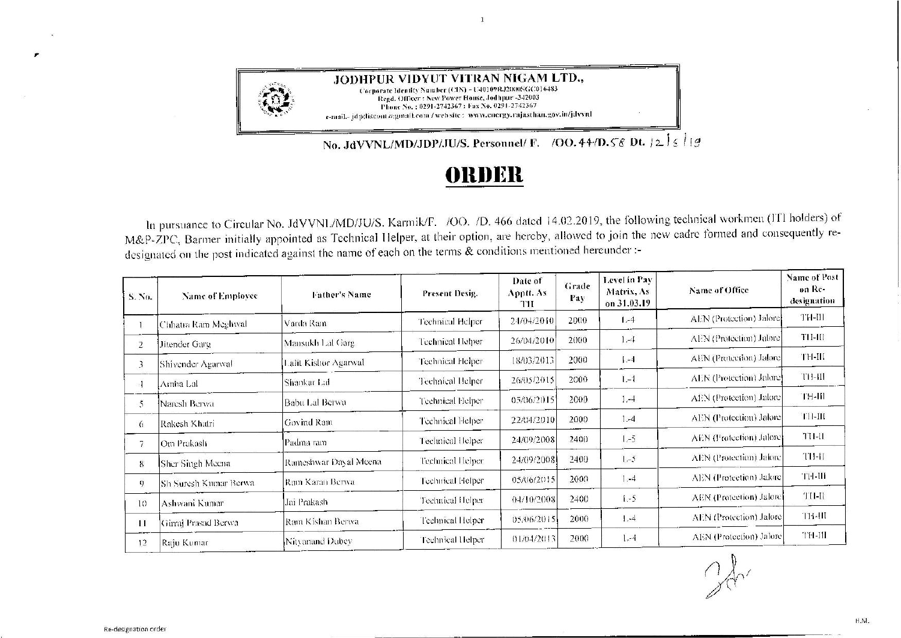

JODHPUR VIDYUT VITRAN NIGAM LTD., Corporate Identity Number (CIN) - U40109RJ2000SGC016483 Regd. Officer: New Power House, Jodhpur -342003 Phone No. : 0291-2742367 : Fax No. 0291-2742367 e-mail.- jdp(liscom a:gmail.com / web site : www.energy.rajasthan.gov.in/jdvvnl

No. JdVVNL/MD/JDP/JU/S. Personnel/ F. /OO. 44/D. 58 Dt.  $|2| \leq i | g$ 

## ORDER

 $\overline{1}$ 

In pursuance to Circular No. JdVVNL/MD/JU/S. Karmik/F. /OO. /D. 466 dated 14.02.2019, the following technical workmen (ITI holders) of M&P-ZPC, Barmer initially appointed as Technical Helper, at their option, are hereby, allowed to join the new cadre formed and consequently redesignated on the post indicated against the name of each on the terms & conditions mentioned hereunder :-

| S. No.          | Name of Employee       | Father's Name         | Present Desig.   | Date of<br>Apptt. As<br>TH | Grade<br>Pay | Level in Pay<br>Matrix, As<br>on 31.03.19 | Name of Office          | Name of Post<br>on Re-<br>designation |
|-----------------|------------------------|-----------------------|------------------|----------------------------|--------------|-------------------------------------------|-------------------------|---------------------------------------|
|                 | Chhatra Ram Meghwal    | Varda Ram             | Technical Helper | 24/04/2010                 | 2000         | $1 - 4$                                   | AEN (Protection) Jalore | TH-III                                |
| 2               | Jitender Garg          | Mansukh Lal Garg      | Technical Helper | 26/04/2010                 | 2000         | $1,-4$                                    | AEN (Protection) Jalore | $711 - 111$                           |
| 3.              | Shivender Agarwal      | Lalit Kishor Agarwal  | Technical Helper | 18/03/2013                 | 2000         | 1.4                                       | AEN (Protection) Jalore | TH-III                                |
|                 | Amba Lal               | Shankar Laf           | Technical Helper | 26/05/2015                 | 2000         | $1 - 1$                                   | AEN (Protection) Jalore | TH-III                                |
| 5               | Naresh Berwa           | Babu Lal Berwa        | Technical Helper | 05/06/2015                 | 2000         | $1 - 4$                                   | AEN (Protection) Jalore | тн-ш                                  |
| $\mathfrak{b}$  | Rakesh Khatri          | Govind Ram            | Technical Helper | 22/04/2010                 | 2000         | $1. -4$                                   | AEN (Protection) Jalore | TH-III                                |
| 7               | Om Prakasli            | Padma ram             | Technical Helper | 24/09/2008                 | 2400         | $1 - 5$                                   | AEN (Protection) Jalore | TH-II                                 |
| 8               | Sher Singh Meena       | Rameshwar Dayal Meena | Technical Helper | 24/09/2008                 | 2400         | $1 - 5$                                   | AEN (Protection) Jalore | TH-II                                 |
| 9               | ISh Suresh Kumar Berwa | Ram Karan Berwa       | Technical Helper | 05/06/2015                 | 2000         | 1, 4                                      | AEN (Protection) Jalore | TH-III                                |
| 10              | Ashwani Kumar          | Jai Prakash-          | Technical Helper | 04/10/2008                 | 2400         | $1-5$                                     | AEN (Protection) Jalore | TH-II                                 |
| $\overline{11}$ | Girraj Prasad Berwa    | Ram Kishan Berwa      | Technical Helper | 05/06/2015                 | 2000         | $1 - 4$                                   | AEN (Protection) Jalore | TH-III                                |
| 12              | Raju Kumar             | Nitvanand Dubev       | Technical Helper | 01/04/2013                 | 2000         | $1 - 4$                                   | AEN (Protection) Jalore | <b>TH-III</b>                         |
|                 |                        |                       |                  |                            |              |                                           |                         |                                       |

 $2d$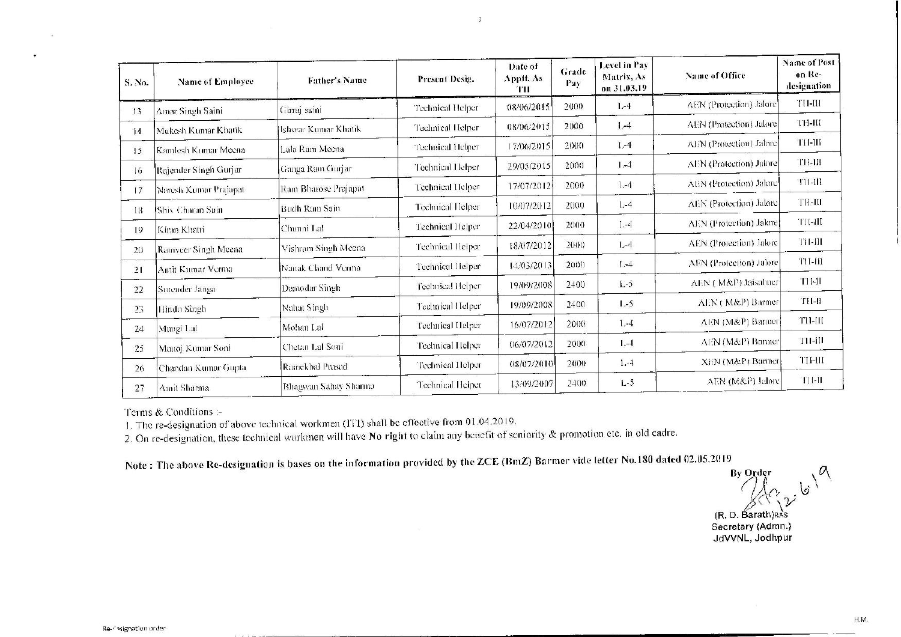| S. No.         | Name of Employee                   | Father's Name        | Present Desig.          | Date of<br>Apptt. As<br>ŦП | Grade<br>Pay | Level in Pay<br>Matrix, As<br>on 31.03.19 | Name of Office          | <b>Name of Post</b><br>on Re-<br>designation |
|----------------|------------------------------------|----------------------|-------------------------|----------------------------|--------------|-------------------------------------------|-------------------------|----------------------------------------------|
| 13             | Amar Singh Saini                   | Girraj saini         | Technical Helper        | 08/06/2015                 | 2000         | $1 - 4$                                   | AEN (Protection) Jalore | TH-III                                       |
| 14             | Mukesh Kumar Khatik                | Ishwar Kumar Khatik  | Technical Helper        | 08/06/2015                 | 2000         | $1 - 4$                                   | AEN (Protection) Jalore | $TH-HI$                                      |
| 15             | Kamlesh Kumar Meena                | Lala Ram Meena       | Technical Helper        | 17/06/2015                 | 2000         | $1,-4$                                    | AEN (Protection) Jalore | TH-III                                       |
| $\overline{6}$ | Rajender Singh Gurjar              | Gauga Ram Gurjar     | Technical Helper        | 29/05/2015                 | 2000         | $1 - 4$                                   | AEN (Protection) Jalore | тн-ш                                         |
| 17             | Naresh Kumar Prajapat              | Ram Bharose Prajapat | Technical Helper        | 17/07/2012                 | 2000         | $1 - 4$                                   | AEN (Protection) Jalore | TH-III                                       |
| 18             | <b>IShiy Charan Sain</b>           | Budh Ram Sain        | Technical Helper        | 10/07/2012                 | 2000         | $L-4$                                     | AEN (Protection) Jalore | TH-III                                       |
| 19             | Kiran Khatri                       | Chunni LaI           | Technical Helper        | 22/04/2010                 | 2000         | $L-4$                                     | AEN (Protection) Jalore | TH-HI                                        |
| 20             | Ramveer Singh Meena                | Vishram Singh Meena  | Technical Helper        | 18/07/2012                 | 2000         | $L - 4$                                   | AEN (Protection) Jalore | $TH-III$                                     |
| 21             | Amit Kumar Verma                   | Nanak Chand Verma    | Technical Helper        | 14/03/2013                 | 2000         | $1,-4$                                    | AEN (Protection) Jalore | TH-HI                                        |
|                | Surender Janga                     | Damodar Singh        | Technical Helper        | 19/09/2008                 | 2400         | $L-5$                                     | AEN (M&P) Jaisalmer     | $TI[-1]$                                     |
| 22             |                                    | Nahat Singh          | Technical Helper        | 19/09/2008                 | 2400         | $1 - 5$                                   | AEN (M&P) Barmer        | $H-HIT$                                      |
| 23             | Hindu Singh                        | Mohan Laf            | Technical Helper        | 16/07/2012                 | 2000         | $1 - 4$                                   | AEN (M&P) Barmer        | TH-III                                       |
| 24             | Mangi Lal                          | Chetan Lal Soni      | Technical Helper        | 06/07/2012                 | 2000         | $1 - 1$                                   | AEN (M&P) Barmer        | TH-III                                       |
| 25             | Manoj Kumar Soni                   | Ramekbal Prasad      | <b>Technical Helper</b> | 08/07/2010                 | 2000         | $1 - 4$                                   | XEN (M&P) Barmer        | TH-III                                       |
| 26<br>27       | Chandan Kumar Gupta<br>Amit Sharma | Bhagwan Sahay Sharma | Technical Helper        | 13/09/2007                 | 2400         | $L-5$                                     | AEN (M&P) Jalore        | TH-II                                        |

 $\overline{z}$ 

Terms & Conditions :-

1. The re-designation of above technical workmen (!Tl) shall be effective from O 1.04.2019.

2. On re-designation, these technical workmen will have **No right** to claim any benefit of seniority & promotion etc. in old cadre.

**Note: The above Re-designation is bases on the information provided by the ZCE (BmZ) Barmer vide letter No.ISO dated 02.05.2019** 

 $\mathbb{B}$ y Order  $\mathbb{C} \times \mathbb{C}^1$  $(R, D.$  Barath)RAS<br>Secretary (Admn.)

**Secretary (Admn.) JdVVNL, Jodhpur**